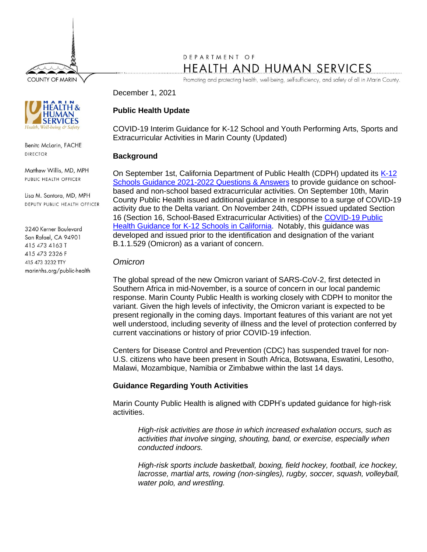**COUNTY OF MARIN** 

# DEPARTMENT OF HEALTH AND HUMAN SERVICES

Promoting and protecting health, well-being, self-sufficiency, and safety of all in Marin County.

December 1, 2021

# **Public Health Update**

COVID-19 Interim Guidance for K-12 School and Youth Performing Arts, Sports and Extracurricular Activities in Marin County (Updated)

### **Background**

On September 1st, California Department of Public Health (CDPH) updated its [K-12](https://www.cdph.ca.gov/Programs/CID/DCDC/Pages/COVID-19/Schools-FAQ.aspx)  [Schools Guidance 2021-2022 Questions & Answers](https://www.cdph.ca.gov/Programs/CID/DCDC/Pages/COVID-19/Schools-FAQ.aspx) to provide guidance on schoolbased and non-school based extracurricular activities. On September 10th, Marin County Public Health issued additional guidance in response to a surge of COVID-19 activity due to the Delta variant. On November 24th, CDPH issued updated Section 16 (Section 16, School-Based Extracurricular Activities) of the [COVID-19 Public](https://www.cdph.ca.gov/Programs/CID/DCDC/Pages/COVID-19/K-12-Guidance-2021-22-School-Year.aspx)  [Health Guidance for K-12 Schools in California.](https://www.cdph.ca.gov/Programs/CID/DCDC/Pages/COVID-19/K-12-Guidance-2021-22-School-Year.aspx) Notably, this guidance was developed and issued prior to the identification and designation of the variant B.1.1.529 (Omicron) as a variant of concern.

### *Omicron*

The global spread of the new Omicron variant of SARS-CoV-2, first detected in Southern Africa in mid-November, is a source of concern in our local pandemic response. Marin County Public Health is working closely with CDPH to monitor the variant. Given the high levels of infectivity, the Omicron variant is expected to be present regionally in the coming days. Important features of this variant are not yet well understood, including severity of illness and the level of protection conferred by current vaccinations or history of prior COVID-19 infection.

Centers for Disease Control and Prevention (CDC) has suspended travel for non-U.S. citizens who have been present in South Africa, Botswana, Eswatini, Lesotho, Malawi, Mozambique, Namibia or Zimbabwe within the last 14 days.

## **Guidance Regarding Youth Activities**

Marin County Public Health is aligned with CDPH's updated guidance for high-risk activities.

*High-risk activities are those in which increased exhalation occurs, such as activities that involve singing, shouting, band, or exercise, especially when conducted indoors.*

*High-risk sports include basketball, boxing, field hockey, football, ice hockey, lacrosse, martial arts, rowing (non-singles), rugby, soccer, squash, volleyball, water polo, and wrestling.*



Benita McLarin, FACHE **DIRECTOR** 

Matthew Willis, MD, MPH PUBLIC HEALTH OFFICER

Lisa M. Santora, MD, MPH DEPUTY PUBLIC HEALTH OFFICER

3240 Kerner Boulevard San Rafael, CA 94901 415 473 4163 T 415 473 2326 F 415 473 3232 TTY marinhhs.org/public-health